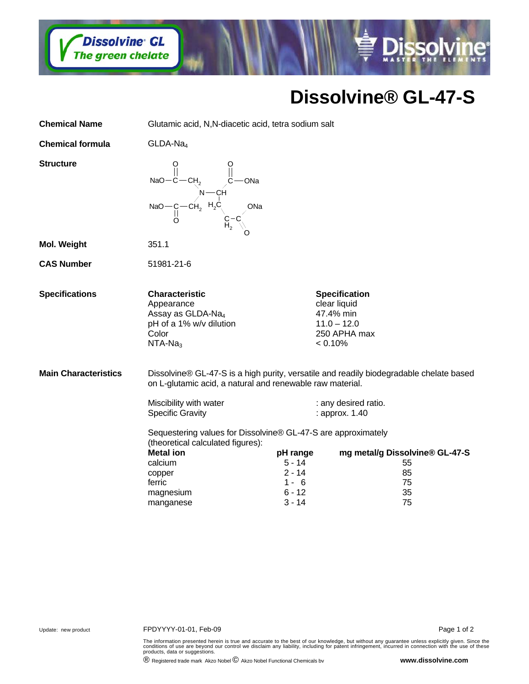

## **Dissolvine® GL-47-S**

**Dissolvine** 

| Glutamic acid, N,N-diacetic acid, tetra sodium salt                                                                                                                                                                                                 |                                                                     |                            |                                                                                                                                                                                                  |
|-----------------------------------------------------------------------------------------------------------------------------------------------------------------------------------------------------------------------------------------------------|---------------------------------------------------------------------|----------------------------|--------------------------------------------------------------------------------------------------------------------------------------------------------------------------------------------------|
| $GLDA-Na4$                                                                                                                                                                                                                                          |                                                                     |                            |                                                                                                                                                                                                  |
| NaO-C-CH <sub>2</sub> $\parallel$ C-ONa<br>NaO-C-CH <sub>2</sub> H <sub>2</sub> C<br>O<br>O<br>O<br>C-C<br>ONa                                                                                                                                      |                                                                     |                            |                                                                                                                                                                                                  |
| 351.1                                                                                                                                                                                                                                               |                                                                     |                            |                                                                                                                                                                                                  |
| 51981-21-6                                                                                                                                                                                                                                          |                                                                     |                            |                                                                                                                                                                                                  |
| <b>Characteristic</b><br>Appearance<br>Assay as GLDA-Na <sub>4</sub><br>pH of a 1% w/v dilution<br>Color<br>$NTA-Na3$                                                                                                                               |                                                                     |                            |                                                                                                                                                                                                  |
| Dissolvine® GL-47-S is a high purity, versatile and readily biodegradable chelate based<br>on L-glutamic acid, a natural and renewable raw material.<br>Miscibility with water<br>: any desired ratio.<br><b>Specific Gravity</b><br>: approx. 1.40 |                                                                     |                            |                                                                                                                                                                                                  |
| (theoretical calculated figures):<br><b>Metal ion</b><br>calcium<br>copper<br>ferric<br>magnesium<br>manganese                                                                                                                                      | pH range<br>$5 - 14$<br>$2 - 14$<br>$1 - 6$<br>$6 - 12$<br>$3 - 14$ | 55<br>85<br>75<br>35<br>75 |                                                                                                                                                                                                  |
|                                                                                                                                                                                                                                                     |                                                                     |                            | <b>Specification</b><br>clear liquid<br>47.4% min<br>$11.0 - 12.0$<br>250 APHA max<br>< 0.10%<br>Sequestering values for Dissolvine® GL-47-S are approximately<br>mg metal/g Dissolvine® GL-47-S |

The information presented herein is true and accurate to the best of our knowledge, but without any guarantee unless explicitly given. Since the<br>conditions of use are beyond our control we disclaim any liability, including